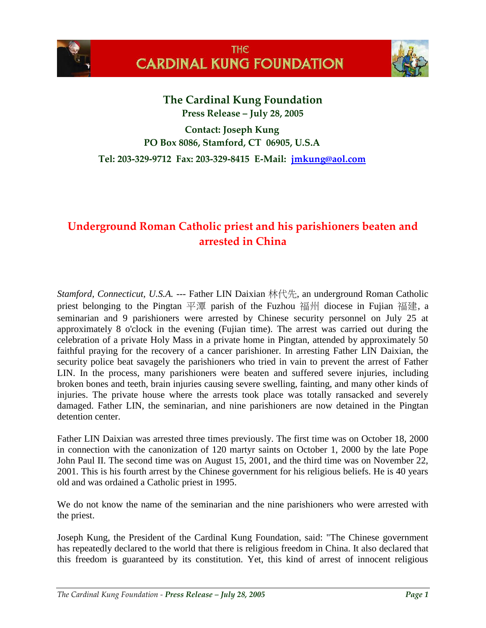



**The Cardinal Kung Foundation Press Release – July 28, 2005**

**Contact: Joseph Kung PO Box 8086, Stamford, CT 06905, U.S.A**

**Tel: 203-329-9712 Fax: 203-329-8415 E-Mail: [jmkung@aol.com](mailto:jmkung@aol.com)**

## **Underground Roman Catholic priest and his parishioners beaten and arrested in China**

*Stamford, Connecticut, U.S.A.* --- Father LIN Daixian 林代先, an underground Roman Catholic priest belonging to the Pingtan 平潭 parish of the Fuzhou 福州 diocese in Fujian 福建, a seminarian and 9 parishioners were arrested by Chinese security personnel on July 25 at approximately 8 o'clock in the evening (Fujian time). The arrest was carried out during the celebration of a private Holy Mass in a private home in Pingtan, attended by approximately 50 faithful praying for the recovery of a cancer parishioner. In arresting Father LIN Daixian, the security police beat savagely the parishioners who tried in vain to prevent the arrest of Father LIN. In the process, many parishioners were beaten and suffered severe injuries, including broken bones and teeth, brain injuries causing severe swelling, fainting, and many other kinds of injuries. The private house where the arrests took place was totally ransacked and severely damaged. Father LIN, the seminarian, and nine parishioners are now detained in the Pingtan detention center.

Father LIN Daixian was arrested three times previously. The first time was on October 18, 2000 in connection with the canonization of 120 martyr saints on October 1, 2000 by the late Pope John Paul II. The second time was on August 15, 2001, and the third time was on November 22, 2001. This is his fourth arrest by the Chinese government for his religious beliefs. He is 40 years old and was ordained a Catholic priest in 1995.

We do not know the name of the seminarian and the nine parishioners who were arrested with the priest.

Joseph Kung, the President of the Cardinal Kung Foundation, said: "The Chinese government has repeatedly declared to the world that there is religious freedom in China. It also declared that this freedom is guaranteed by its constitution. Yet, this kind of arrest of innocent religious